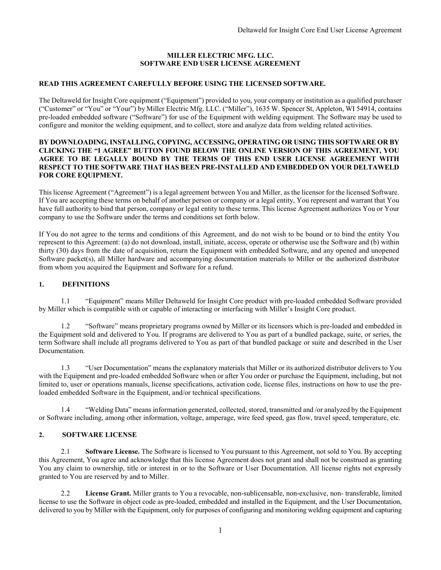### **MILLER ELECTRIC MFG. LLC. SOFTWARE END USER LICENSE AGREEMENT**

## **READ THIS AGREEMENT CAREFULLY BEFORE USING THE LICENSED SOFTWARE.**

The Deltaweld for Insight Core equipment ("Equipment") provided to you, your company or institution as a qualified purchaser ("Customer" or "You" or "Your") by Miller Electric Mfg. LLC. ("Miller"), 1635 W. Spencer St, Appleton, WI 54914, contains pre-loaded embedded software ("Software") for use of the Equipment with welding equipment. The Software may be used to configure and monitor the welding equipment, and to collect, store and analyze data from welding related activities.

#### **BY DOWNLOADING, INSTALLING, COPYING, ACCESSING, OPERATING OR USING THIS SOFTWARE OR BY CLICKING THE "I AGREE" BUTTON FOUND BELOW THE ONLINE VERSION OF THIS AGREEMENT, YOU AGREE TO BE LEGALLY BOUND BY THE TERMS OF THIS END USER LICENSE AGREEMENT WITH RESPECT TO THE SOFTWARE THAT HAS BEEN PRE-INSTALLED AND EMBEDDED ON YOUR DELTAWELD FOR CORE EQUIPMENT.**

This license Agreement ("Agreement") is a legal agreement between You and Miller, as the licensor for the licensed Software. If You are accepting these terms on behalf of another person or company or a legal entity, You represent and warrant that You have full authority to bind that person, company or legal entity to these terms. This license Agreement authorizes You or Your company to use the Software under the terms and conditions set forth below.

If You do not agree to the terms and conditions of this Agreement, and do not wish to be bound or to bind the entity You represent to this Agreement: (a) do not download, install, initiate, access, operate or otherwise use the Software and (b) within thirty (30) days from the date of acquisition, return the Equipment with embedded Software, and any opened and unopened Software packet(s), all Miller hardware and accompanying documentation materials to Miller or the authorized distributor from whom you acquired the Equipment and Software for a refund.

## **1. DEFINITIONS**

1.1 "Equipment" means Miller Deltaweld for Insight Core product with pre-loaded embedded Software provided by Miller which is compatible with or capable of interacting or interfacing with Miller's Insight Core product.

1.2 "Software" means proprietary programs owned by Miller or its licensors which is pre-loaded and embedded in the Equipment sold and delivered to You. If programs are delivered to You as part of a bundled package, suite, or series, the term Software shall include all programs delivered to You as part of that bundled package or suite and described in the User Documentation.

1.3 "User Documentation" means the explanatory materials that Miller or its authorized distributor delivers to You with the Equipment and pre-loaded embedded Software when or after You order or purchase the Equipment, including, but not limited to, user or operations manuals, license specifications, activation code, license files, instructions on how to use the preloaded embedded Software in the Equipment, and/or technical specifications.

1.4 "Welding Data" means information generated, collected, stored, transmitted and /or analyzed by the Equipment or Software including, among other information, voltage, amperage, wire feed speed, gas flow, travel speed, temperature, etc.

### **2. SOFTWARE LICENSE**

2.1 **Software License.** The Software is licensed to You pursuant to this Agreement, not sold to You. By accepting this Agreement, You agree and acknowledge that this license Agreement does not grant and shall not be construed as granting You any claim to ownership, title or interest in or to the Software or User Documentation. All license rights not expressly granted to You are reserved by and to Miller.

2.2 **License Grant.** Miller grants to You a revocable, non-sublicensable, non-exclusive, non- transferable, limited license to use the Software in object code as pre-loaded, embedded and installed in the Equipment, and the User Documentation, delivered to you by Miller with the Equipment, only for purposes of configuring and monitoring welding equipment and capturing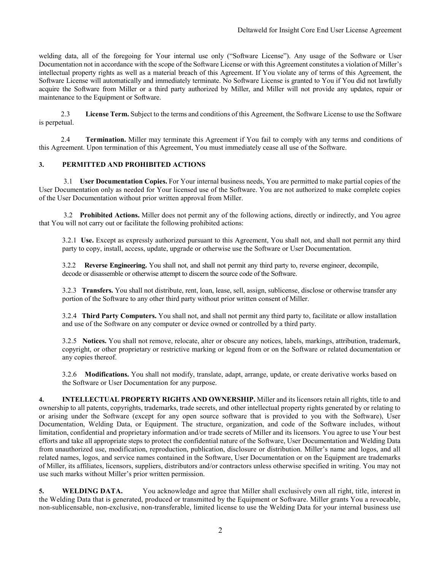welding data, all of the foregoing for Your internal use only ("Software License"). Any usage of the Software or User Documentation not in accordance with the scope of the Software License or with this Agreement constitutes a violation of Miller's intellectual property rights as well as a material breach of this Agreement. If You violate any of terms of this Agreement, the Software License will automatically and immediately terminate. No Software License is granted to You if You did not lawfully acquire the Software from Miller or a third party authorized by Miller, and Miller will not provide any updates, repair or maintenance to the Equipment or Software.

2.3 **License Term.** Subject to the terms and conditions of this Agreement, the Software License to use the Software is perpetual.

2.4 **Termination.** Miller may terminate this Agreement if You fail to comply with any terms and conditions of this Agreement. Upon termination of this Agreement, You must immediately cease all use of the Software.

## **3. PERMITTED AND PROHIBITED ACTIONS**

3.1 **User Documentation Copies.** For Your internal business needs, You are permitted to make partial copies of the User Documentation only as needed for Your licensed use of the Software. You are not authorized to make complete copies of the User Documentation without prior written approval from Miller.

3.2 **Prohibited Actions.** Miller does not permit any of the following actions, directly or indirectly, and You agree that You will not carry out or facilitate the following prohibited actions:

3.2.1 **Use.** Except as expressly authorized pursuant to this Agreement, You shall not, and shall not permit any third party to copy, install, access, update, upgrade or otherwise use the Software or User Documentation.

3.2.2 **Reverse Engineering.** You shall not, and shall not permit any third party to, reverse engineer, decompile, decode or disassemble or otherwise attempt to discern the source code of the Software.

3.2.3 **Transfers.** You shall not distribute, rent, loan, lease, sell, assign, sublicense, disclose or otherwise transfer any portion of the Software to any other third party without prior written consent of Miller.

3.2.4 **Third Party Computers.** You shall not, and shall not permit any third party to, facilitate or allow installation and use of the Software on any computer or device owned or controlled by a third party.

3.2.5 **Notices.** You shall not remove, relocate, alter or obscure any notices, labels, markings, attribution, trademark, copyright, or other proprietary or restrictive marking or legend from or on the Software or related documentation or any copies thereof.

3.2.6 **Modifications.** You shall not modify, translate, adapt, arrange, update, or create derivative works based on the Software or User Documentation for any purpose.

**4. INTELLECTUAL PROPERTY RIGHTS AND OWNERSHIP.** Miller and its licensors retain all rights, title to and ownership to all patents, copyrights, trademarks, trade secrets, and other intellectual property rights generated by or relating to or arising under the Software (except for any open source software that is provided to you with the Software), User Documentation, Welding Data, or Equipment. The structure, organization, and code of the Software includes, without limitation, confidential and proprietary information and/or trade secrets of Miller and its licensors. You agree to use Your best efforts and take all appropriate steps to protect the confidential nature of the Software, User Documentation and Welding Data from unauthorized use, modification, reproduction, publication, disclosure or distribution. Miller's name and logos, and all related names, logos, and service names contained in the Software, User Documentation or on the Equipment are trademarks of Miller, its affiliates, licensors, suppliers, distributors and/or contractors unless otherwise specified in writing. You may not use such marks without Miller's prior written permission.

**5. WELDING DATA.** You acknowledge and agree that Miller shall exclusively own all right, title, interest in the Welding Data that is generated, produced or transmitted by the Equipment or Software. Miller grants You a revocable, non-sublicensable, non-exclusive, non-transferable, limited license to use the Welding Data for your internal business use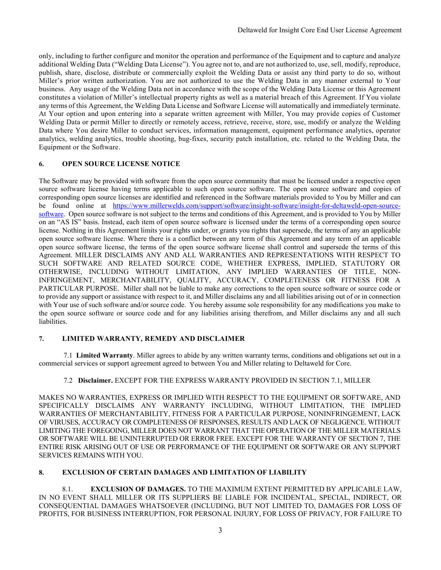only, including to further configure and monitor the operation and performance of the Equipment and to capture and analyze additional Welding Data ("Welding Data License"). You agree not to, and are not authorized to, use, sell, modify, reproduce, publish, share, disclose, distribute or commercially exploit the Welding Data or assist any third party to do so, without Miller's prior written authorization. You are not authorized to use the Welding Data in any manner external to Your business.Any usage of the Welding Data not in accordance with the scope of the Welding Data License or this Agreement constitutes a violation of Miller's intellectual property rights as well as a material breach of this Agreement. If You violate any terms of this Agreement, the Welding Data License and Software License will automatically and immediately terminate. At Your option and upon entering into a separate written agreement with Miller, You may provide copies of Customer Welding Data or permit Miller to directly or remotely access, retrieve, receive, store, use, modify or analyze the Welding Data where You desire Miller to conduct services, information management, equipment performance analytics, operator analytics, welding analytics, trouble shooting, bug-fixes, security patch installation, etc. related to the Welding Data, the Equipment or the Software.

## **6. OPEN SOURCE LICENSE NOTICE**

The Software may be provided with software from the open source community that must be licensed under a respective open source software license having terms applicable to such open source software. The open source software and copies of corresponding open source licenses are identified and referenced in the Software materials provided to You by Miller and can be found online at https://www.millerwelds.com/support/software/insight-software/insight-for-deltaweld-open-sourcesoftware. Open source software is not subject to the terms and conditions of this Agreement, and is provided to You by Miller on an "AS IS" basis. Instead, each item of open source software is licensed under the terms of a corresponding open source license. Nothing in this Agreement limits your rights under, or grants you rights that supersede, the terms of any an applicable open source software license. Where there is a conflict between any term of this Agreement and any term of an applicable open source software license, the terms of the open source software license shall control and supersede the terms of this Agreement. MILLER DISCLAIMS ANY AND ALL WARRANTIES AND REPRESENTATIONS WITH RESPECT TO SUCH SOFTWARE AND RELATED SOURCE CODE, WHETHER EXPRESS, IMPLIED, STATUTORY OR OTHERWISE, INCLUDING WITHOUT LIMITATION, ANY IMPLIED WARRANTIES OF TITLE, NON-INFRINGEMENT, MERCHANTABILITY, QUALITY, ACCURACY, COMPLETENESS OR FITNESS FOR A PARTICULAR PURPOSE. Miller shall not be liable to make any corrections to the open source software or source code or to provide any support or assistance with respect to it, and Miller disclaims any and all liabilities arising out of or in connection with Your use of such software and/or source code. You hereby assume sole responsibility for any modifications you make to the open source software or source code and for any liabilities arising therefrom, and Miller disclaims any and all such liabilities.

## **7. LIMITED WARRANTY, REMEDY AND DISCLAIMER**

7.1 **Limited Warranty**. Miller agrees to abide by any written warranty terms, conditions and obligations set out in a commercial services or support agreement agreed to between You and Miller relating to Deltaweld for Core.

# 7.2 **Disclaimer.** EXCEPT FOR THE EXPRESS WARRANTY PROVIDED IN SECTION 7.1, MILLER

MAKES NO WARRANTIES, EXPRESS OR IMPLIED WITH RESPECT TO THE EQUIPMENT OR SOFTWARE, AND SPECIFICALLY DISCLAIMS ANY WARRANTY INCLUDING, WITHOUT LIMITATION, THE IMPLIED WARRANTIES OF MERCHANTABILITY, FITNESS FOR A PARTICULAR PURPOSE, NONINFRINGEMENT, LACK OF VIRUSES, ACCURACY OR COMPLETENESS OF RESPONSES, RESULTS AND LACK OF NEGLIGENCE. WITHOUT LIMITING THE FOREGOING, MILLER DOES NOT WARRANT THAT THE OPERATION OF THE MILLER MATERIALS OR SOFTWARE WILL BE UNINTERRUPTED OR ERROR FREE. EXCEPT FOR THE WARRANTY OF SECTION 7, THE ENTIRE RISK ARISING OUT OF USE OR PERFORMANCE OF THE EQUIPMENT OR SOFTWARE OR ANY SUPPORT SERVICES REMAINS WITH YOU.

# **8. EXCLUSION OF CERTAIN DAMAGES AND LIMITATION OF LIABILITY**

8.1. **EXCLUSION OF DAMAGES.** TO THE MAXIMUM EXTENT PERMITTED BY APPLICABLE LAW, IN NO EVENT SHALL MILLER OR ITS SUPPLIERS BE LIABLE FOR INCIDENTAL, SPECIAL, INDIRECT, OR CONSEQUENTIAL DAMAGES WHATSOEVER (INCLUDING, BUT NOT LIMITED TO, DAMAGES FOR LOSS OF PROFITS, FOR BUSINESS INTERRUPTION, FOR PERSONAL INJURY, FOR LOSS OF PRIVACY, FOR FAILURE TO